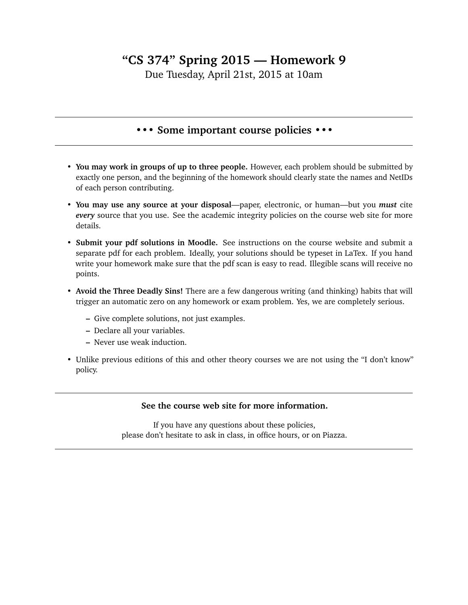## **"CS 374" Spring 2015 — Homework 9**

Due Tuesday, April 21st, 2015 at 10am

## **••• Some important course policies •••**

- **You may work in groups of up to three people.** However, each problem should be submitted by exactly one person, and the beginning of the homework should clearly state the names and NetIDs of each person contributing.
- **You may use any source at your disposal**—paper, electronic, or human—but you *must* cite *every* source that you use. See the academic integrity policies on the course web site for more details.
- **Submit your pdf solutions in Moodle.** See instructions on the course website and submit a separate pdf for each problem. Ideally, your solutions should be typeset in LaTex. If you hand write your homework make sure that the pdf scan is easy to read. Illegible scans will receive no points.
- **Avoid the Three Deadly Sins!** There are a few dangerous writing (and thinking) habits that will trigger an automatic zero on any homework or exam problem. Yes, we are completely serious.
	- **–** Give complete solutions, not just examples.
	- **–** Declare all your variables.
	- **–** Never use weak induction.
- Unlike previous editions of this and other theory courses we are not using the "I don't know" policy.

## **See the course web site for more information.**

If you have any questions about these policies, please don't hesitate to ask in class, in office hours, or on Piazza.